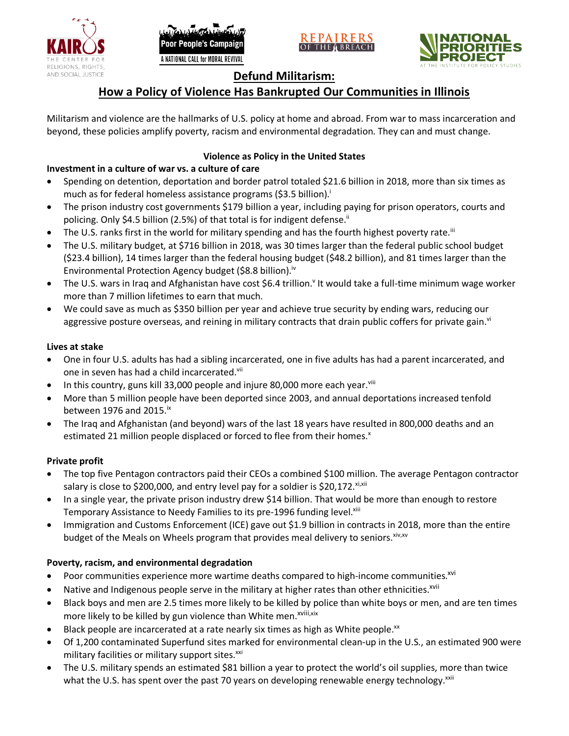





# **Defund Militarism:**

# **How a Policy of Violence Has Bankrupted Our Communities in Illinois**

Militarism and violence are the hallmarks of U.S. policy at home and abroad. From war to mass incarceration and beyond, these policies amplify poverty, racism and environmental degradation. They can and must change.

# **Violence as Policy in the United States**

# **Investment in a culture of war vs. a culture of care**

- Spending on detention, deportation and border patrol totaled \$21.6 billion in 2018, more than six times as much as for federal homeless assistance programs (\$3.5 billion).<sup>i</sup>
- The prison industry cost governments \$179 billion a year, including paying for prison operators, courts and policing. Only \$4.5 billion (2.5%) of that total is for indigent defense.<sup>ii</sup>
- The U.S. ranks first in the world for military spending and has the fourth highest poverty rate.<sup>iii</sup>
- The U.S. military budget, at \$716 billion in 2018, was 30 times larger than the federal public school budget (\$23.4 billion), 14 times larger than the federal housing budget (\$48.2 billion), and 81 times larger than the Environmental Protection Agency budget (\$8.8 billion).<sup>iv</sup>
- The U.S. wars in Iraq and Afghanistan have cost \$6.4 trillion.<sup>v</sup> It would take a full-time minimum wage worker more than 7 million lifetimes to earn that much.
- We could save as much as \$350 billion per year and achieve true security by ending wars, reducing our aggressive posture overseas, and reining in military contracts that drain public coffers for private gain.<sup>vi</sup>

### **Lives at stake**

- One in four U.S. adults has had a sibling incarcerated, one in five adults has had a parent incarcerated, and one in seven has had a child incarcerated.vii
- In this country, guns kill 33,000 people and injure 80,000 more each year. $v_{\text{lin}}$
- More than 5 million people have been deported since 2003, and annual deportations increased tenfold between 1976 and 2015. $\mathrm{i}$ <sup>x</sup>
- The Iraq and Afghanistan (and beyond) wars of the last 18 years have resulted in 800,000 deaths and an estimated 21 million people displaced or forced to flee from their homes.<sup>x</sup>

## **Private profit**

- The top five Pentagon contractors paid their CEOs a combined \$100 million. The average Pentagon contractor salary is close to \$200,000, and entry level pay for a soldier is \$20,172. xi,xii
- In a single year, the private prison industry drew \$14 billion. That would be more than enough to restore Temporary Assistance to Needy Families to its pre-1996 funding level.<sup>xiii</sup>
- Immigration and Customs Enforcement (ICE) gave out \$1.9 billion in contracts in 2018, more than the entire budget of the Meals on Wheels program that provides meal delivery to seniors. Xiv, XV

## **Poverty, racism, and environmental degradation**

- Poor communities experience more wartime deaths compared to high-income communities.<sup>xvi</sup>
- Native and Indigenous people serve in the military at higher rates than other ethnicities.<sup>xvii</sup>
- Black boys and men are 2.5 times more likely to be killed by police than white boys or men, and are ten times more likely to be killed by gun violence than White men.<sup>xviii,xix</sup>
- Black people are incarcerated at a rate nearly six times as high as White people.<sup>xx</sup>
- Of 1,200 contaminated Superfund sites marked for environmental clean-up in the U.S., an estimated 900 were military facilities or military support sites.<sup>xxi</sup>
- The U.S. military spends an estimated \$81 billion a year to protect the world's oil supplies, more than twice what the U.S. has spent over the past 70 years on developing renewable energy technology.<sup>xxii</sup>